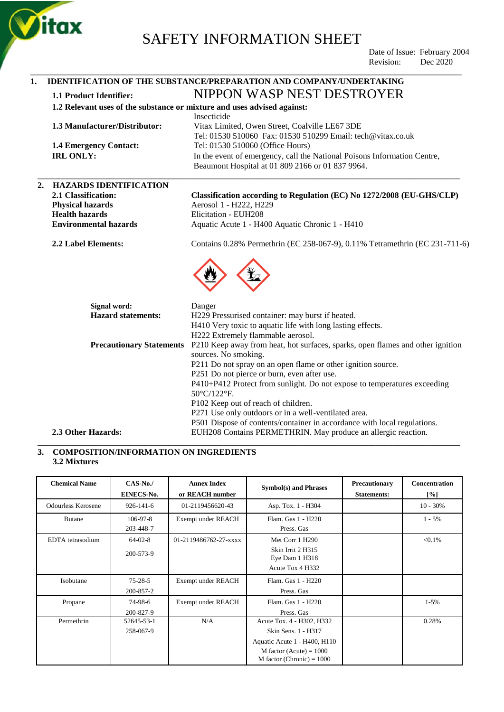

\_\_\_\_\_\_\_\_\_\_\_\_\_\_\_\_\_\_\_\_\_\_\_\_\_\_\_\_\_\_\_\_\_\_\_\_\_\_\_\_\_\_\_\_\_\_\_\_\_\_\_\_\_\_\_\_\_\_\_\_\_\_\_\_\_\_\_\_\_\_\_\_\_\_\_\_\_\_\_\_\_\_\_\_\_\_\_\_\_\_\_\_\_\_\_\_\_\_\_\_\_\_

 Date of Issue: February 2004 Revision: Dec 2020

### **1. IDENTIFICATION OF THE SUBSTANCE/PREPARATION AND COMPANY/UNDERTAKING 1.1 Product Identifier:** NIPPON WASP NEST DESTROYER **1.2 Relevant uses of the substance or mixture and uses advised against:** Insecticide **1.3 Manufacturer/Distributor:** Vitax Limited, Owen Street, Coalville LE67 3DE Tel: 01530 510060 Fax: 01530 510299 Email: tech@vitax.co.uk **1.4 Emergency Contact:** Tel: 01530 510060 (Office Hours) **IRL ONLY:** In the event of emergency, call the National Poisons Information Centre, Beaumont Hospital at 01 809 2166 or 01 837 9964. \_\_\_\_\_\_\_\_\_\_\_\_\_\_\_\_\_\_\_\_\_\_\_\_\_\_\_\_\_\_\_\_\_\_\_\_\_\_\_\_\_\_\_\_\_\_\_\_\_\_\_\_\_\_\_\_\_\_\_\_\_\_\_\_\_\_\_\_\_\_\_\_\_\_\_\_\_\_\_\_\_\_\_\_\_\_\_\_\_\_\_\_\_\_\_\_\_\_\_\_ **2. HAZARDS IDENTIFICATION 2.1 Classification: Classification according to Regulation (EC) No 1272/2008 (EU-GHS/CLP) Physical hazards** Aerosol 1 - H222, H229 **Health hazards** Elicitation - EUH208 **Environmental hazards** Aquatic Acute 1 - H400 Aquatic Chronic 1 - H410 **2.2 Label Elements:** Contains 0.28% Permethrin (EC 258-067-9), 0.11% Tetramethrin (EC 231-711-6) **Signal word:** Danger **Hazard statements:** H229 Pressurised container: may burst if heated. H410 Very toxic to aquatic life with long lasting effects. H222 Extremely flammable aerosol. **Precautionary Statements** P210 Keep away from heat, hot surfaces, sparks, open flames and other ignition sources. No smoking. P211 Do not spray on an open flame or other ignition source. P251 Do not pierce or burn, even after use. P410+P412 Protect from sunlight. Do not expose to temperatures exceeding 50°C/122°F. P102 Keep out of reach of children. P271 Use only outdoors or in a well-ventilated area. P501 Dispose of contents/container in accordance with local regulations. **2.3 Other Hazards:** EUH208 Contains PERMETHRIN. May produce an allergic reaction.

#### **3. COMPOSITION/INFORMATION ON INGREDIENTS 3.2 Mixtures**

| <b>Chemical Name</b>      | $CAS-No.$<br>EINECS-No.     | <b>Annex Index</b><br>or REACH number | <b>Symbol(s)</b> and Phrases                                                                                                                 | Precautionary<br><b>Statements:</b> | <b>Concentration</b><br>[%] |
|---------------------------|-----------------------------|---------------------------------------|----------------------------------------------------------------------------------------------------------------------------------------------|-------------------------------------|-----------------------------|
| <b>Odourless Kerosene</b> | $926 - 141 - 6$             | 01-2119456620-43                      | Asp. Tox. 1 - H304                                                                                                                           |                                     | $10 - 30\%$                 |
| <b>Butane</b>             | $106 - 97 - 8$<br>203-448-7 | Exempt under REACH                    | Flam. Gas 1 - H220<br>Press. Gas                                                                                                             |                                     | $1 - 5\%$                   |
| EDTA tetrasodium          | $64-02-8$<br>200-573-9      | 01-2119486762-27-xxxx                 | Met Corr 1 H290<br>Skin Irrit 2 H315<br>Eye Dam 1 H318<br>Acute Tox 4 H332                                                                   |                                     | $< 0.1\%$                   |
| Isobutane                 | $75 - 28 - 5$<br>200-857-2  | Exempt under REACH                    | Flam. Gas 1 - H220<br>Press. Gas                                                                                                             |                                     |                             |
| Propane                   | 74-98-6<br>200-827-9        | Exempt under REACH                    | Flam. Gas 1 - H220<br>Press. Gas                                                                                                             |                                     | $1 - 5\%$                   |
| Permethrin                | 52645-53-1<br>258-067-9     | N/A                                   | Acute Tox. 4 - H302, H332<br>Skin Sens. 1 - H317<br>Aquatic Acute 1 - H400, H110<br>M factor (Acute) = $1000$<br>M factor (Chronic) = $1000$ |                                     | 0.28%                       |

**\_\_\_\_\_\_\_\_\_\_\_\_\_\_\_\_\_\_\_\_\_\_\_\_\_\_\_\_\_\_\_\_\_\_\_\_\_\_\_\_\_\_\_\_\_\_\_\_\_\_\_\_\_\_\_\_\_\_\_\_\_\_\_\_\_\_\_\_\_\_\_\_\_\_\_\_\_\_\_\_\_\_\_\_\_\_\_\_\_\_\_\_\_\_\_\_\_\_\_\_**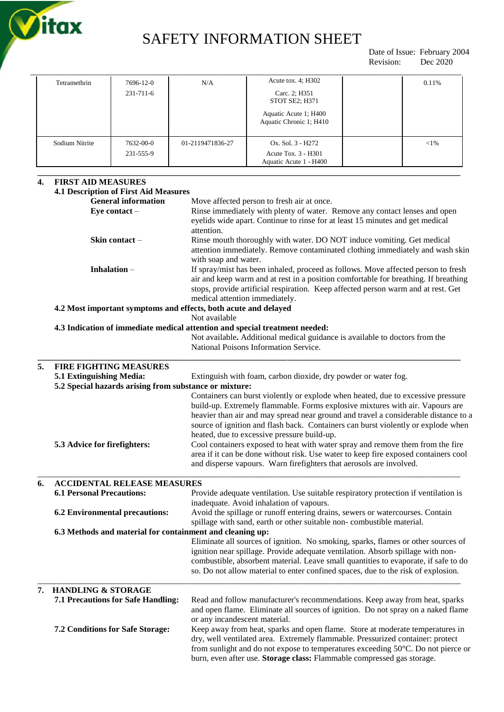

 Date of Issue: February 2004 Revision: Dec 2020

| <b>FIRST AID MEASURES</b><br>4.<br><b>4.1 Description of First Aid Measures</b> |                | <b>General information</b><br>Eye contact $-$ |                  | Move affected person to fresh air at once.<br>Rinse immediately with plenty of water. Remove any contact lenses and open |          |
|---------------------------------------------------------------------------------|----------------|-----------------------------------------------|------------------|--------------------------------------------------------------------------------------------------------------------------|----------|
|                                                                                 |                | 231-555-9                                     |                  | Acute Tox. 3 - H301<br>Aquatic Acute 1 - H400                                                                            |          |
|                                                                                 | Sodium Nitrite | $231 - 711 - 6$<br>7632-00-0                  | 01-2119471836-27 | Carc. 2; H351<br><b>STOT SE2: H371</b><br>Aquatic Acute 1; H400<br>Aquatic Chronic 1; H410<br>Ox. Sol. 3 - H272          | ${<}1\%$ |
|                                                                                 | Tetramethrin   | 7696-12-0                                     | N/A              | Acute tox. $4$ ; H302                                                                                                    | 0.11%    |

|                | attention immediately. Remove contaminated clothing immediately and wash skin       |
|----------------|-------------------------------------------------------------------------------------|
|                | with soap and water.                                                                |
| Inhalation $-$ | If spray/mist has been inhaled, proceed as follows. Move affected person to fresh   |
|                | air and keep warm and at rest in a position comfortable for breathing. If breathing |
|                | stops, provide artificial respiration. Keep affected person warm and at rest. Get   |
|                | medical attention immediately.                                                      |

#### **4.2 Most important symptoms and effects, both acute and delayed**

Not available

#### **4.3 Indication of immediate medical attention and special treatment needed:**

Not available**.** Additional medical guidance is available to doctors from the National Poisons Information Service.

| <b>FIRE FIGHTING MEASURES</b>                          |                                                                                                                                                                                                                                              |  |
|--------------------------------------------------------|----------------------------------------------------------------------------------------------------------------------------------------------------------------------------------------------------------------------------------------------|--|
| 5.1 Extinguishing Media:                               | Extinguish with foam, carbon dioxide, dry powder or water fog.                                                                                                                                                                               |  |
| 5.2 Special hazards arising from substance or mixture: |                                                                                                                                                                                                                                              |  |
|                                                        | Containers can burst violently or explode when heated, due to excessive pressure                                                                                                                                                             |  |
|                                                        | build-up. Extremely flammable. Forms explosive mixtures with air. Vapours are                                                                                                                                                                |  |
|                                                        | heavier than air and may spread near ground and travel a considerable distance to a<br>source of ignition and flash back. Containers can burst violently or explode when                                                                     |  |
|                                                        | heated, due to excessive pressure build-up.                                                                                                                                                                                                  |  |
| 5.3 Advice for firefighters:                           | Cool containers exposed to heat with water spray and remove them from the fire<br>area if it can be done without risk. Use water to keep fire exposed containers cool<br>and disperse vapours. Warn firefighters that aerosols are involved. |  |
|                                                        |                                                                                                                                                                                                                                              |  |

**\_\_\_\_\_\_\_\_\_\_\_\_\_\_\_\_\_\_\_\_\_\_\_\_\_\_\_\_\_\_\_\_\_\_\_\_\_\_\_\_\_\_\_\_\_\_\_\_\_\_\_\_\_\_\_\_\_\_\_\_\_\_\_\_\_\_\_\_\_\_\_\_\_\_\_\_\_\_\_\_\_\_\_\_\_\_\_\_\_\_\_\_\_\_\_\_\_\_\_\_**

#### **6. ACCIDENTAL RELEASE MEASURES 6.1 Personal Precautions:** Provide adequate ventilation. Use suitable respiratory protection if ventilation is inadequate. Avoid inhalation of vapours. **6.2 Environmental precautions:** Avoid the spillage or runoff entering drains, sewers or watercourses. Contain spillage with sand, earth or other suitable non- combustible material. **6.3 Methods and material for containment and cleaning up:**  Eliminate all sources of ignition. No smoking, sparks, flames or other sources of ignition near spillage. Provide adequate ventilation. Absorb spillage with noncombustible, absorbent material. Leave small quantities to evaporate, if safe to do so. Do not allow material to enter confined spaces, due to the risk of explosion. \_\_\_\_\_\_\_\_\_\_\_\_\_\_\_\_\_\_\_\_\_\_\_\_\_\_\_\_\_\_\_\_\_\_\_\_\_\_\_\_\_\_\_\_\_\_\_\_\_\_\_\_\_\_\_\_\_\_\_\_\_\_\_\_\_\_\_\_\_\_\_\_\_\_\_\_\_\_\_\_\_\_\_\_\_\_\_\_\_\_\_\_\_\_\_\_\_\_\_\_ **7. HANDLING & STORAGE**

#### **7.1 Precautions for Safe Handling:** Read and follow manufacturer's recommendations. Keep away from heat, sparks and open flame. Eliminate all sources of ignition. Do not spray on a naked flame or any incandescent material. **7.2 Conditions for Safe Storage:** Keep away from heat, sparks and open flame. Store at moderate temperatures in dry, well ventilated area. Extremely flammable. Pressurized container: protect from sunlight and do not expose to temperatures exceeding 50°C. Do not pierce or burn, even after use. **Storage class:** Flammable compressed gas storage.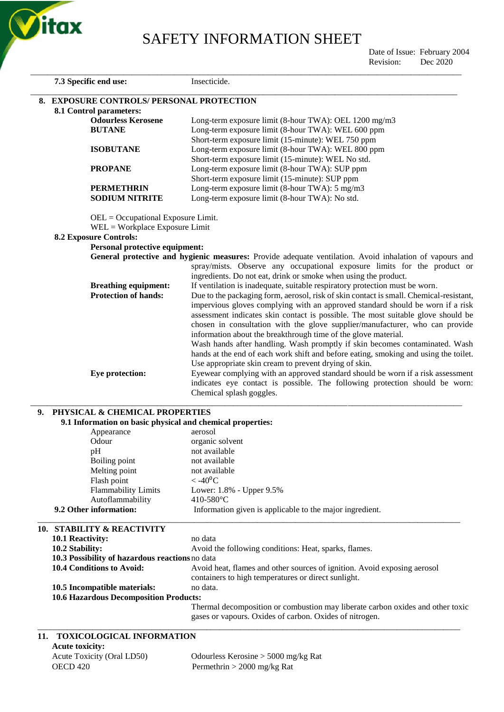

Date of Issue: February 2004<br>Revision: Dec 2020

|    |                                                                                              | Revision:<br>Dec 2020                                                                                                                                          |
|----|----------------------------------------------------------------------------------------------|----------------------------------------------------------------------------------------------------------------------------------------------------------------|
|    | 7.3 Specific end use:                                                                        | Insecticide.                                                                                                                                                   |
|    | 8. EXPOSURE CONTROLS/ PERSONAL PROTECTION                                                    |                                                                                                                                                                |
|    | 8.1 Control parameters:                                                                      |                                                                                                                                                                |
|    | <b>Odourless Kerosene</b>                                                                    | Long-term exposure limit (8-hour TWA): OEL 1200 mg/m3                                                                                                          |
|    | <b>BUTANE</b>                                                                                | Long-term exposure limit (8-hour TWA): WEL 600 ppm                                                                                                             |
|    |                                                                                              | Short-term exposure limit (15-minute): WEL 750 ppm                                                                                                             |
|    | <b>ISOBUTANE</b>                                                                             | Long-term exposure limit (8-hour TWA): WEL 800 ppm                                                                                                             |
|    |                                                                                              | Short-term exposure limit (15-minute): WEL No std.                                                                                                             |
|    | <b>PROPANE</b>                                                                               | Long-term exposure limit (8-hour TWA): SUP ppm                                                                                                                 |
|    |                                                                                              | Short-term exposure limit (15-minute): SUP ppm                                                                                                                 |
|    | <b>PERMETHRIN</b>                                                                            | Long-term exposure limit (8-hour TWA): 5 mg/m3                                                                                                                 |
|    | <b>SODIUM NITRITE</b>                                                                        | Long-term exposure limit (8-hour TWA): No std.                                                                                                                 |
|    | $OEL = Occupational Exposure Limit.$<br>$WEL = Workplace Exposure Limit$                     |                                                                                                                                                                |
|    | <b>8.2 Exposure Controls:</b>                                                                |                                                                                                                                                                |
|    | Personal protective equipment:                                                               |                                                                                                                                                                |
|    |                                                                                              | General protective and hygienic measures: Provide adequate ventilation. Avoid inhalation of vapours and                                                        |
|    |                                                                                              | spray/mists. Observe any occupational exposure limits for the product or                                                                                       |
|    |                                                                                              | ingredients. Do not eat, drink or smoke when using the product.                                                                                                |
|    | <b>Breathing equipment:</b>                                                                  | If ventilation is inadequate, suitable respiratory protection must be worn.                                                                                    |
|    | <b>Protection of hands:</b>                                                                  | Due to the packaging form, aerosol, risk of skin contact is small. Chemical-resistant,                                                                         |
|    |                                                                                              | impervious gloves complying with an approved standard should be worn if a risk                                                                                 |
|    |                                                                                              | assessment indicates skin contact is possible. The most suitable glove should be                                                                               |
|    |                                                                                              | chosen in consultation with the glove supplier/manufacturer, who can provide                                                                                   |
|    |                                                                                              | information about the breakthrough time of the glove material.                                                                                                 |
|    |                                                                                              | Wash hands after handling. Wash promptly if skin becomes contaminated. Wash                                                                                    |
|    |                                                                                              | hands at the end of each work shift and before eating, smoking and using the toilet.                                                                           |
|    |                                                                                              | Use appropriate skin cream to prevent drying of skin.                                                                                                          |
|    | Eye protection:                                                                              | Eyewear complying with an approved standard should be worn if a risk assessment<br>indicates eye contact is possible. The following protection should be worn: |
|    |                                                                                              | Chemical splash goggles.                                                                                                                                       |
|    |                                                                                              |                                                                                                                                                                |
| 9. | PHYSICAL & CHEMICAL PROPERTIES<br>9.1 Information on basic physical and chemical properties: |                                                                                                                                                                |
|    | Appearance                                                                                   | aerosol                                                                                                                                                        |
|    | Odour                                                                                        | organic solvent                                                                                                                                                |
|    | pH                                                                                           | not available                                                                                                                                                  |
|    | Boiling point                                                                                | not available                                                                                                                                                  |
|    | Melting point                                                                                | not available                                                                                                                                                  |
|    | Flash point                                                                                  | $<$ -40 <sup>0</sup> C                                                                                                                                         |
|    | <b>Flammability Limits</b>                                                                   | Lower: 1.8% - Upper 9.5%                                                                                                                                       |
|    | Autoflammability                                                                             | 410-580°C                                                                                                                                                      |
|    | 9.2 Other information:                                                                       | Information given is applicable to the major ingredient.                                                                                                       |
|    | 10. STABILITY & REACTIVITY                                                                   |                                                                                                                                                                |
|    | 10.1 Reactivity:                                                                             | no data                                                                                                                                                        |
|    | 10.2 Stability:                                                                              | Avoid the following conditions: Heat, sparks, flames.                                                                                                          |
|    | 10.3 Possibility of hazardous reactions no data                                              |                                                                                                                                                                |
|    | 10.4 Conditions to Avoid:                                                                    | Avoid heat, flames and other sources of ignition. Avoid exposing aerosol                                                                                       |
|    |                                                                                              | containers to high temperatures or direct sunlight.                                                                                                            |

\_\_\_\_\_\_\_\_\_\_\_\_\_\_\_\_\_\_\_\_\_\_\_\_\_\_\_\_\_\_\_\_\_\_\_\_\_\_\_\_\_\_\_\_\_\_\_\_\_\_\_\_\_\_\_\_\_\_\_\_\_\_\_\_\_\_\_\_\_\_\_\_\_\_\_\_\_\_\_\_\_\_\_\_\_\_\_\_\_\_\_\_\_\_\_\_\_\_\_\_

**10.6 Hazardous Decomposition Products:**  Thermal decomposition or combustion may liberate carbon oxides and other toxic gases or vapours. Oxides of carbon. Oxides of nitrogen.

#### **11. TOXICOLOGICAL INFORMATION Acute toxicity:**

**10.5 Incompatible materials:** no data.

| Acute Toxicity (Oral LD50) | Odourless Kerosine $> 5000$ mg/kg Rat |
|----------------------------|---------------------------------------|
| OECD 420                   | Permethrin $> 2000$ mg/kg Rat         |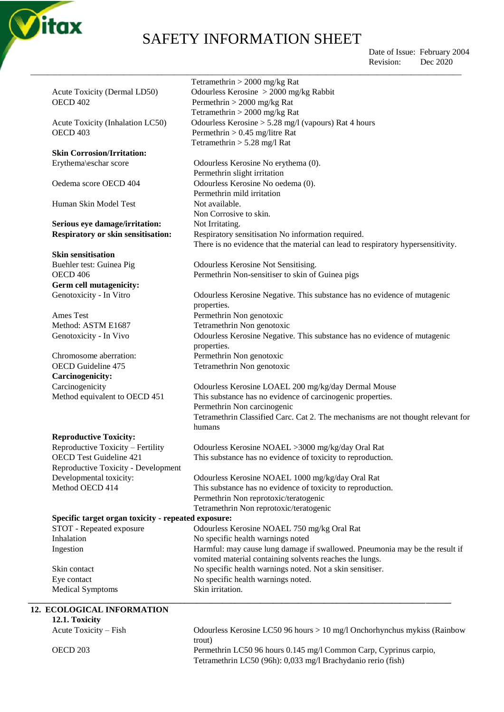

\_\_\_\_\_\_\_\_\_\_\_\_\_\_\_\_\_\_\_\_\_\_\_\_\_\_\_\_\_\_\_\_\_\_\_\_\_\_\_\_\_\_\_\_\_\_\_\_\_\_\_\_\_\_\_\_\_\_\_\_\_\_\_\_\_\_\_\_\_\_\_\_\_\_\_\_\_\_\_\_\_\_\_\_\_\_\_\_\_\_\_\_\_\_\_\_\_\_\_\_\_\_ Tetramethrin > 2000 mg/kg Rat

Tetramethrin > 2000 mg/kg Rat

Tetramethrin > 5.28 mg/l Rat

Permethrin slight irritation

Permethrin mild irritation

There is no evidence that the material can lead to respiratory hypersensitivity.

Non Corrosive to skin.

properties.

 Date of Issue: February 2004 Revision: Dec 2020

Acute Toxicity (Dermal LD50) Odourless Kerosine > 2000 mg/kg Rabbit OECD 402 Permethrin > 2000 mg/kg Rat

Acute Toxicity (Inhalation LC50) Odourless Kerosine > 5.28 mg/l (vapours) Rat 4 hours OECD 403 Permethrin > 0.45 mg/litre Rat

### **Skin Corrosion/Irritation:**

Erythema\eschar score Odourless Kerosine No erythema (0).

Oedema score OECD 404 Odourless Kerosine No oedema (0).

Human Skin Model Test Not available.

#### Serious eye damage/irritation: Not Irritating. **Respiratory or skin sensitisation:** Respiratory sensitisation No information required.

**Skin sensitisation**

Buehler test: Guinea Pig Odourless Kerosine Not Sensitising. OECD 406 Permethrin Non-sensitiser to skin of Guinea pigs **Germ cell mutagenicity:** Genotoxicity - In Vitro Odourless Kerosine Negative. This substance has no evidence of mutagenic

Ames Test Permethrin Non genotoxic Method: ASTM E1687 Tetramethrin Non genotoxic Genotoxicity - In Vivo Odourless Kerosine Negative. This substance has no evidence of mutagenic

#### **Reproductive Toxicity:**

### **12. ECO**

|                                                     | properties.                                                                      |
|-----------------------------------------------------|----------------------------------------------------------------------------------|
| Chromosome aberration:                              | Permethrin Non genotoxic                                                         |
| OECD Guideline 475                                  | Tetramethrin Non genotoxic                                                       |
| <b>Carcinogenicity:</b>                             |                                                                                  |
| Carcinogenicity                                     | Odourless Kerosine LOAEL 200 mg/kg/day Dermal Mouse                              |
| Method equivalent to OECD 451                       | This substance has no evidence of carcinogenic properties.                       |
|                                                     | Permethrin Non carcinogenic                                                      |
|                                                     | Tetramethrin Classified Carc. Cat 2. The mechanisms are not thought relevant for |
|                                                     | humans                                                                           |
| <b>Reproductive Toxicity:</b>                       |                                                                                  |
| Reproductive Toxicity - Fertility                   | Odourless Kerosine NOAEL >3000 mg/kg/day Oral Rat                                |
| <b>OECD Test Guideline 421</b>                      | This substance has no evidence of toxicity to reproduction.                      |
| Reproductive Toxicity - Development                 |                                                                                  |
| Developmental toxicity:                             | Odourless Kerosine NOAEL 1000 mg/kg/day Oral Rat                                 |
| Method OECD 414                                     | This substance has no evidence of toxicity to reproduction.                      |
|                                                     | Permethrin Non reprotoxic/teratogenic                                            |
|                                                     | Tetramethrin Non reprotoxic/teratogenic                                          |
| Specific target organ toxicity - repeated exposure: |                                                                                  |
| STOT - Repeated exposure                            | Odourless Kerosine NOAEL 750 mg/kg Oral Rat                                      |
| Inhalation                                          | No specific health warnings noted                                                |
| Ingestion                                           | Harmful: may cause lung damage if swallowed. Pneumonia may be the result if      |
|                                                     | vomited material containing solvents reaches the lungs.                          |
| Skin contact                                        | No specific health warnings noted. Not a skin sensitiser.                        |
| Eye contact                                         | No specific health warnings noted.                                               |
| <b>Medical Symptoms</b>                             | Skin irritation.                                                                 |
|                                                     |                                                                                  |
| 12. ECOLOGICAL INFORMATION                          |                                                                                  |
| 12.1. Toxicity                                      |                                                                                  |
| Acute Toxicity – Fish                               | Odourless Kerosine LC50 96 hours > 10 mg/l Onchorhynchus mykiss (Rainbow         |
|                                                     | trout)                                                                           |
| OECD <sub>203</sub>                                 | Permethrin LC50 96 hours 0.145 mg/l Common Carp, Cyprinus carpio,                |
|                                                     | Tetramethrin LC50 (96h): 0,033 mg/l Brachydanio rerio (fish)                     |
|                                                     |                                                                                  |
|                                                     |                                                                                  |
|                                                     |                                                                                  |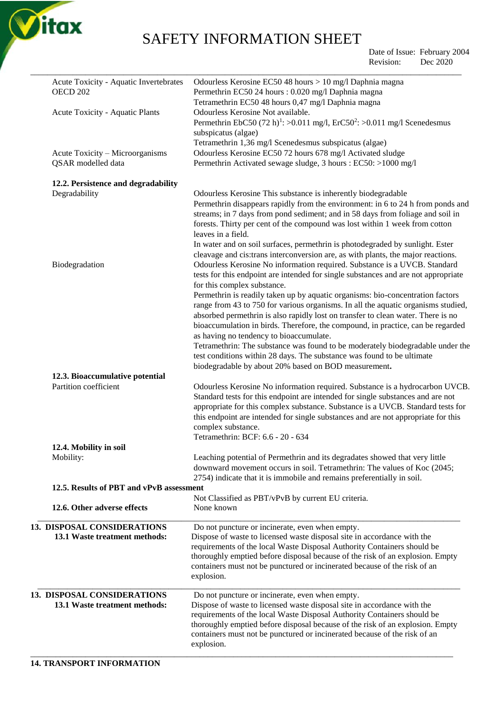

Date of Issue: February 2004 Revision: Dec 2020

| Acute Toxicity - Aquatic Invertebrates   | Odourless Kerosine EC50 48 hours > 10 mg/l Daphnia magna                                                                                                                                              |
|------------------------------------------|-------------------------------------------------------------------------------------------------------------------------------------------------------------------------------------------------------|
| <b>OECD 202</b>                          | Permethrin EC50 24 hours : 0.020 mg/l Daphnia magna                                                                                                                                                   |
|                                          | Tetramethrin EC50 48 hours 0,47 mg/l Daphnia magna<br>Odourless Kerosine Not available.                                                                                                               |
| Acute Toxicity - Aquatic Plants          | Permethrin EbC50 (72 h) <sup>1</sup> : >0.011 mg/l, ErC50 <sup>2</sup> : >0.011 mg/l Scenedesmus                                                                                                      |
|                                          | subspicatus (algae)                                                                                                                                                                                   |
|                                          | Tetramethrin 1,36 mg/l Scenedesmus subspicatus (algae)                                                                                                                                                |
| Acute Toxicity – Microorganisms          | Odourless Kerosine EC50 72 hours 678 mg/l Activated sludge                                                                                                                                            |
| QSAR modelled data                       | Permethrin Activated sewage sludge, 3 hours : EC50: >1000 mg/l                                                                                                                                        |
| 12.2. Persistence and degradability      |                                                                                                                                                                                                       |
| Degradability                            | Odourless Kerosine This substance is inherently biodegradable                                                                                                                                         |
|                                          | Permethrin disappears rapidly from the environment: in 6 to 24 h from ponds and                                                                                                                       |
|                                          | streams; in 7 days from pond sediment; and in 58 days from foliage and soil in                                                                                                                        |
|                                          | forests. Thirty per cent of the compound was lost within 1 week from cotton<br>leaves in a field.                                                                                                     |
|                                          | In water and on soil surfaces, permethrin is photodegraded by sunlight. Ester                                                                                                                         |
|                                          | cleavage and cis: trans interconversion are, as with plants, the major reactions.                                                                                                                     |
| Biodegradation                           | Odourless Kerosine No information required. Substance is a UVCB. Standard                                                                                                                             |
|                                          | tests for this endpoint are intended for single substances and are not appropriate                                                                                                                    |
|                                          | for this complex substance.                                                                                                                                                                           |
|                                          | Permethrin is readily taken up by aquatic organisms: bio-concentration factors                                                                                                                        |
|                                          | range from 43 to 750 for various organisms. In all the aquatic organisms studied,                                                                                                                     |
|                                          | absorbed permethrin is also rapidly lost on transfer to clean water. There is no                                                                                                                      |
|                                          | bioaccumulation in birds. Therefore, the compound, in practice, can be regarded                                                                                                                       |
|                                          | as having no tendency to bioaccumulate.                                                                                                                                                               |
|                                          | Tetramethrin: The substance was found to be moderately biodegradable under the                                                                                                                        |
|                                          | test conditions within 28 days. The substance was found to be ultimate                                                                                                                                |
|                                          | biodegradable by about 20% based on BOD measurement.                                                                                                                                                  |
| 12.3. Bioaccumulative potential          |                                                                                                                                                                                                       |
| Partition coefficient                    | Odourless Kerosine No information required. Substance is a hydrocarbon UVCB.                                                                                                                          |
|                                          | Standard tests for this endpoint are intended for single substances and are not<br>appropriate for this complex substance. Substance is a UVCB. Standard tests for                                    |
|                                          | this endpoint are intended for single substances and are not appropriate for this                                                                                                                     |
|                                          | complex substance.                                                                                                                                                                                    |
|                                          | Tetramethrin: BCF: 6.6 - 20 - 634                                                                                                                                                                     |
| 12.4. Mobility in soil                   |                                                                                                                                                                                                       |
| Mobility:                                | Leaching potential of Permethrin and its degradates showed that very little                                                                                                                           |
|                                          | downward movement occurs in soil. Tetramethrin: The values of Koc (2045;                                                                                                                              |
|                                          | 2754) indicate that it is immobile and remains preferentially in soil.                                                                                                                                |
| 12.5. Results of PBT and vPvB assessment |                                                                                                                                                                                                       |
|                                          | Not Classified as PBT/vPvB by current EU criteria.                                                                                                                                                    |
| 12.6. Other adverse effects              | None known                                                                                                                                                                                            |
| 13. DISPOSAL CONSIDERATIONS              | Do not puncture or incinerate, even when empty.                                                                                                                                                       |
| 13.1 Waste treatment methods:            | Dispose of waste to licensed waste disposal site in accordance with the                                                                                                                               |
|                                          | requirements of the local Waste Disposal Authority Containers should be                                                                                                                               |
|                                          | thoroughly emptied before disposal because of the risk of an explosion. Empty<br>containers must not be punctured or incinerated because of the risk of an                                            |
|                                          | explosion.                                                                                                                                                                                            |
|                                          |                                                                                                                                                                                                       |
| 13.1 Waste treatment methods:            |                                                                                                                                                                                                       |
|                                          |                                                                                                                                                                                                       |
|                                          | thoroughly emptied before disposal because of the risk of an explosion. Empty                                                                                                                         |
|                                          | containers must not be punctured or incinerated because of the risk of an                                                                                                                             |
|                                          | explosion.                                                                                                                                                                                            |
| 13. DISPOSAL CONSIDERATIONS              | Do not puncture or incinerate, even when empty.<br>Dispose of waste to licensed waste disposal site in accordance with the<br>requirements of the local Waste Disposal Authority Containers should be |